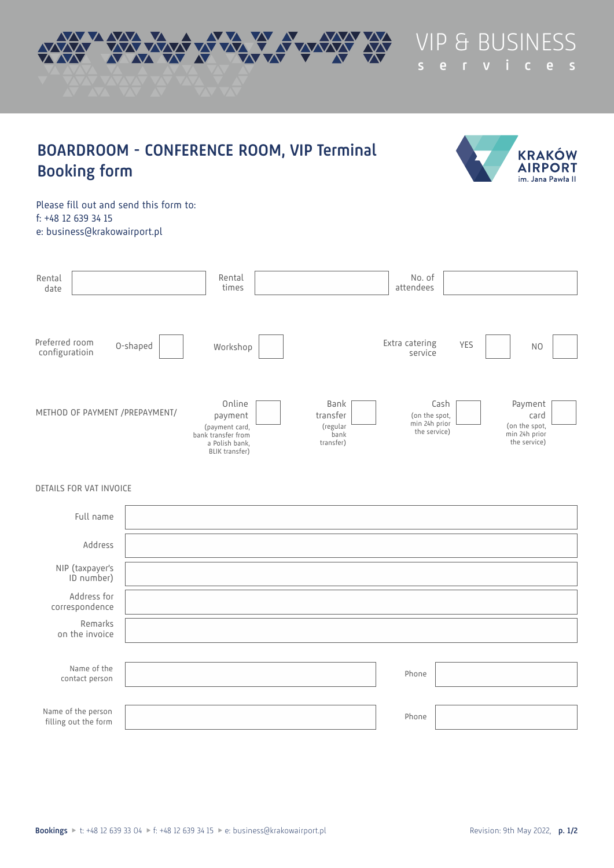

**BOARDROOM - CONFERENCE ROOM, VIP Terminal**

**KRAKÓW AIRPORT** im. Jana Pawła II

Please fill out and send this form to: f: +48 12 639 34 15 e: business@krakowairport.pl

**Booking form**

| Rental<br>date                   |                                | Rental<br>times                                                                               |                                                   | No. of<br>attendees                                    |                                                                   |
|----------------------------------|--------------------------------|-----------------------------------------------------------------------------------------------|---------------------------------------------------|--------------------------------------------------------|-------------------------------------------------------------------|
| Preferred room<br>configuratioin | O-shaped                       | Workshop                                                                                      |                                                   | Extra catering<br>YES<br>service                       | NO                                                                |
|                                  | METHOD OF PAYMENT /PREPAYMENT/ | Online<br>payment<br>(payment card,<br>bank transfer from<br>a Polish bank,<br>BLIK transfer) | Bank<br>transfer<br>(regular<br>bank<br>transfer) | Cash<br>(on the spot,<br>min 24h prior<br>the service) | Payment<br>card<br>(on the spot,<br>min 24h prior<br>the service) |

# DETAILS FOR VAT INVOICE

| Full name                                  |       |  |
|--------------------------------------------|-------|--|
| Address                                    |       |  |
| NIP (taxpayer's<br>ID number)              |       |  |
| Address for<br>correspondence              |       |  |
| Remarks<br>on the invoice                  |       |  |
|                                            |       |  |
| Name of the<br>contact person              | Phone |  |
|                                            |       |  |
| Name of the person<br>filling out the form | Phone |  |
|                                            |       |  |